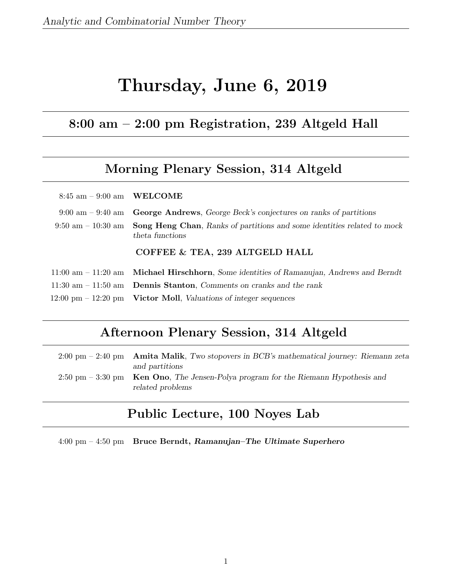# Thursday, June 6, 2019

## 8:00 am – 2:00 pm Registration, 239 Altgeld Hall

## Morning Plenary Session, 314 Altgeld

| $8:45$ am $-9:00$ am WELCOME        |                                                                                                                                 |
|-------------------------------------|---------------------------------------------------------------------------------------------------------------------------------|
| $9:00 \text{ am} - 9:40 \text{ am}$ | <b>George Andrews</b> , George Beck's conjectures on ranks of partitions                                                        |
|                                     | $9:50 \text{ am} - 10:30 \text{ am}$ Song Heng Chan, Ranks of partitions and some identities related to mock<br>theta functions |
|                                     | COFFEE & TEA, 239 ALTGELD HALL                                                                                                  |
|                                     | $11:00$ am $-11:20$ am <b>Michael Hirschhorn</b> , Some identities of Ramanujan, Andrews and Berndt                             |
|                                     | 11:30 am $-$ 11:50 am <b>Dennis Stanton</b> , Comments on cranks and the rank                                                   |
|                                     | $12:00 \text{ pm} - 12:20 \text{ pm}$ Victor Moll, Valuations of integer sequences                                              |

## Afternoon Plenary Session, 314 Altgeld

| $2:00 \text{ pm} - 2:40 \text{ pm}$ Amita Malik, Two stopovers in BCB's mathematical journey: Riemann zeta<br>and partitions |
|------------------------------------------------------------------------------------------------------------------------------|
| 2:50 pm $-$ 3:30 pm Ken Ono, The Jensen-Polya program for the Riemann Hypothesis and<br>related problems                     |

## Public Lecture, 100 Noyes Lab

4:00 pm – 4:50 pm Bruce Berndt, Ramanujan–The Ultimate Superhero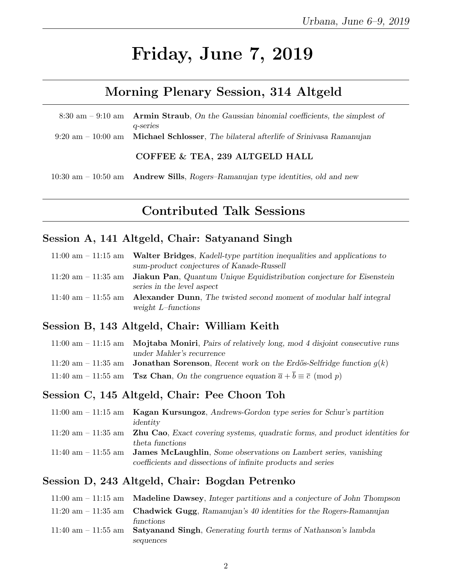# Friday, June 7, 2019

## Morning Plenary Session, 314 Altgeld

| 8:30 am $-$ 9:10 am Armin Straub, On the Gaussian binomial coefficients, the simplest of               |
|--------------------------------------------------------------------------------------------------------|
| q-series                                                                                               |
| $9:20 \text{ am} - 10:00 \text{ am}$ Michael Schlosser, The bilateral afterlife of Srinivasa Ramanujan |
|                                                                                                        |
| COFFEE & TEA, 239 ALTGELD HALL                                                                         |
|                                                                                                        |

10:30 am – 10:50 am Andrew Sills, Rogers–Ramanujan type identities, old and new

## Contributed Talk Sessions

### Session A, 141 Altgeld, Chair: Satyanand Singh

| $11:00$ am $-11:15$ am Walter Bridges, Kadell-type partition inequalities and applications to       |
|-----------------------------------------------------------------------------------------------------|
| sum-product conjectures of Kanade-Russell                                                           |
| 11:20 am $-$ 11:35 am <b>Jiakun Pan</b> , Quantum Unique Equidistribution conjecture for Eisenstein |
| series in the level aspect                                                                          |
| 11:40 am $-$ 11:55 am Alexander Dunn, The twisted second moment of modular half integral            |
| weight $L$ -functions                                                                               |

#### Session B, 143 Altgeld, Chair: William Keith

| 11:00 am $-$ 11:15 am Mojtaba Moniri, Pairs of relatively long, mod 4 disjoint consecutive runs              |
|--------------------------------------------------------------------------------------------------------------|
| under Mahler's recurrence                                                                                    |
| 11:20 am - 11:35 am <b>Jonathan Sorenson</b> , Recent work on the Erdős-Selfridge function $q(k)$            |
| 11:40 am - 11:55 am <b>Tsz Chan</b> , On the congruence equation $\bar{a} + \bar{b} \equiv \bar{c} \pmod{p}$ |

#### Session C, 145 Altgeld, Chair: Pee Choon Toh

| $11:00$ am $-11:15$ am Kagan Kursungoz, Andrews-Gordon type series for Schur's partition                    |
|-------------------------------------------------------------------------------------------------------------|
| identity                                                                                                    |
| $11:20$ am $-11:35$ am <b>Zhu Cao</b> , Exact covering systems, quadratic forms, and product identities for |
| theta functions                                                                                             |
| $11:40$ am $-11:55$ am <b>James McLaughlin</b> , Some observations on Lambert series, vanishing             |
| coefficients and dissections of infinite products and series                                                |

#### Session D, 243 Altgeld, Chair: Bogdan Petrenko

| $11:00$ am $-11:15$ am <b>Madeline Dawsey</b> , Integer partitions and a conjecture of John Thompson |
|------------------------------------------------------------------------------------------------------|
| 11:20 am $-$ 11:35 am Chadwick Gugg, Ramanujan's 40 identities for the Rogers-Ramanujan              |
| functions                                                                                            |
| 11:40 am $-$ 11:55 am Satyan and Singh, Generating fourth terms of Nathanson's lambda                |
| sequences                                                                                            |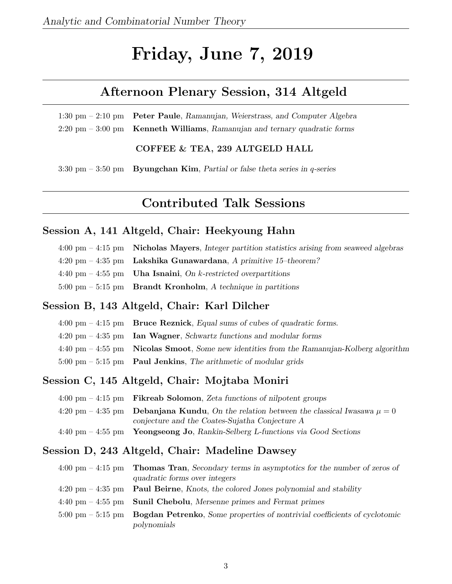# Friday, June 7, 2019

## Afternoon Plenary Session, 314 Altgeld

1:30 pm – 2:10 pm Peter Paule, Ramanujan, Weierstrass, and Computer Algebra 2:20 pm – 3:00 pm Kenneth Williams, Ramanujan and ternary quadratic forms

COFFEE & TEA, 239 ALTGELD HALL

3:30 pm – 3:50 pm Byungchan Kim, Partial or false theta series in q-series

# Contributed Talk Sessions

#### Session A, 141 Altgeld, Chair: Heekyoung Hahn

| $4:00 \text{ pm} - 4:15 \text{ pm}$ Nicholas Mayers, Integer partition statistics arising from seaweed algebras |
|-----------------------------------------------------------------------------------------------------------------|
| $4:20 \text{ pm} - 4:35 \text{ pm}$ Lakshika Gunawardana, A primitive 15-theorem?                               |
| 4:40 pm $-$ 4:55 pm Uha Isnaini, On k-restricted overpartitions                                                 |
| 5:00 pm $-$ 5:15 pm Brandt Kronholm, A technique in partitions                                                  |

#### Session B, 143 Altgeld, Chair: Karl Dilcher

| $4:00 \text{ pm} - 4:15 \text{ pm}$ Bruce Reznick, Equal sums of cubes of quadratic forms.                  |
|-------------------------------------------------------------------------------------------------------------|
| $4:20 \text{ pm} - 4:35 \text{ pm}$ Ian Wagner, Schwartz functions and modular forms                        |
| $4:40 \text{ pm} - 4:55 \text{ pm}$ Nicolas Smoot, Some new identities from the Ramanujan-Kolberg algorithm |
| $5:00 \text{ pm} - 5:15 \text{ pm}$ Paul Jenkins, The arithmetic of modular grids                           |

#### Session C, 145 Altgeld, Chair: Mojtaba Moniri

| $4:00 \text{ pm} - 4:15 \text{ pm}$ Fikreab Solomon, Zeta functions of nilpotent groups            |
|----------------------------------------------------------------------------------------------------|
| 4:20 pm – 4:35 pm <b>Debanjana Kundu</b> , On the relation between the classical Iwasawa $\mu = 0$ |
| conjecture and the Coates-Sujatha Conjecture A                                                     |
| $4:40 \text{ pm} - 4:55 \text{ pm}$ Yeongseong Jo, Rankin-Selberg L-functions via Good Sections    |

#### Session D, 243 Altgeld, Chair: Madeline Dawsey

| $4:00 \text{ pm} - 4:15 \text{ pm}$ Thomas Tran, Secondary terms in asymptotics for the number of zeros of    |
|---------------------------------------------------------------------------------------------------------------|
| quadratic forms over integers                                                                                 |
| $4:20 \text{ pm} - 4:35 \text{ pm}$ Paul Beirne, Knots, the colored Jones polynomial and stability            |
| $4:40 \text{ pm} - 4:55 \text{ pm}$ Sunil Chebolu, Mersenne primes and Fermat primes                          |
| $5:00 \text{ pm} - 5:15 \text{ pm}$ Bogdan Petrenko, Some properties of nontrivial coefficients of cyclotomic |
| polynomials                                                                                                   |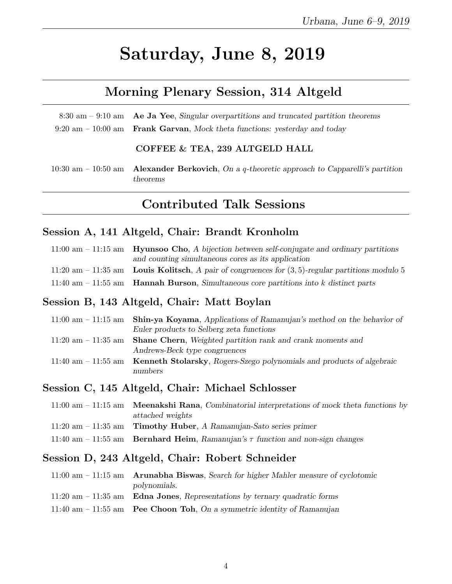# Saturday, June 8, 2019

## Morning Plenary Session, 314 Altgeld

| $8:30$ am $-9:10$ am Ae Ja Yee, Singular overpartitions and truncated partition theorems     |
|----------------------------------------------------------------------------------------------|
| $9:20 \text{ am} - 10:00 \text{ am}$ Frank Garvan, Mock theta functions: yesterday and today |
|                                                                                              |

#### COFFEE & TEA, 239 ALTGELD HALL

10:30 am – 10:50 am **Alexander Berkovich**, On a q-theoretic approach to Capparelli's partition theorems

## Contributed Talk Sessions

#### Session A, 141 Altgeld, Chair: Brandt Kronholm

| $11:00$ am $-11:15$ am Hyunsoo Cho, A bijection between self-conjugate and ordinary partitions     |
|----------------------------------------------------------------------------------------------------|
| and counting simultaneous cores as its application                                                 |
| 11:20 am – 11:35 am Louis Kolitsch, A pair of congruences for $(3,5)$ -regular partitions modulo 5 |
| 11:40 am $-$ 11:55 am <b>Hannah Burson</b> , Simultaneous core partitions into k distinct parts    |

#### Session B, 143 Altgeld, Chair: Matt Boylan

| 11:00 am $-$ 11:15 am Shin-ya Koyama, Applications of Ramanujan's method on the behavior of |
|---------------------------------------------------------------------------------------------|
| Euler products to Selberg zeta functions                                                    |
| 11:20 am $-$ 11:35 am Shane Chern, Weighted partition rank and crank moments and            |
| Andrews-Beck type congruences                                                               |
| 11:40 am $-$ 11:55 am Kenneth Stolarsky, Rogers-Szego polynomials and products of algebraic |
| numbers                                                                                     |

#### Session C, 145 Altgeld, Chair: Michael Schlosser

| $11:00$ am $-11:15$ am <b>Meenakshi Rana</b> , Combinatorial interpretations of mock theta functions by |
|---------------------------------------------------------------------------------------------------------|
| attached weights                                                                                        |
| 11:20 am $-$ 11:35 am Timothy Huber, A Ramanujan-Sato series primer                                     |
| 11:40 am - 11:55 am Bernhard Heim, Ramanujan's $\tau$ function and non-sign changes                     |

#### Session D, 243 Altgeld, Chair: Robert Schneider

| $11:00$ am $-11:15$ am Arunabha Biswas, Search for higher Mahler measure of cyclotomic |
|----------------------------------------------------------------------------------------|
| polynomials.                                                                           |
| 11:20 am $-$ 11:35 am Edna Jones, Representations by ternary quadratic forms           |
| 11:40 am $-$ 11:55 am Pee Choon Toh, On a symmetric identity of Ramanujan              |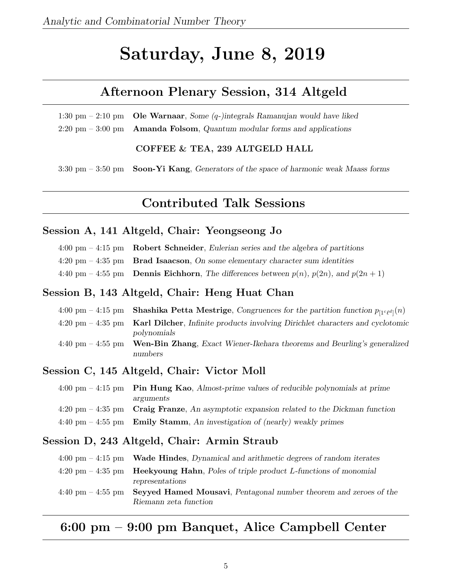# Saturday, June 8, 2019

## Afternoon Plenary Session, 314 Altgeld

1:30 pm – 2:10 pm **Ole Warnaar**, Some  $(q$ -)integrals Ramanujan would have liked  $2:20 \text{ pm} - 3:00 \text{ pm}$  Amanda Folsom, Quantum modular forms and applications

COFFEE & TEA, 239 ALTGELD HALL

 $3:30 \text{ pm} - 3:50 \text{ pm}$  Soon-Yi Kang, Generators of the space of harmonic weak Maass forms

## Contributed Talk Sessions

#### Session A, 141 Altgeld, Chair: Yeongseong Jo

- 4:00 pm 4:15 pm Robert Schneider, Eulerian series and the algebra of partitions
- $4:20 \text{ pm} 4:35 \text{ pm}$  Brad Isaacson, On some elementary character sum identities
- 4:40 pm 4:55 pm **Dennis Eichhorn**, The differences between  $p(n)$ ,  $p(2n)$ , and  $p(2n + 1)$

#### Session B, 143 Altgeld, Chair: Heng Huat Chan

| 4:00 pm – 4:15 pm – <b>Shashika Petta Mestrige</b> , Congruences for the partition function $p_{11}e_{\ell}q_{1}(n)$ |
|----------------------------------------------------------------------------------------------------------------------|
| $4:20 \text{ pm} - 4:35 \text{ pm}$ Karl Dilcher, Infinite products involving Dirichlet characters and cyclotomic    |
| polynomials                                                                                                          |
| 4:40 pm $-$ 4:55 pm Wen-Bin Zhang, Exact Wiener-Ikehara theorems and Beurling's generalized<br>numbers               |

#### Session C, 145 Altgeld, Chair: Victor Moll

| $4:00 \text{ pm} - 4:15 \text{ pm}$ Pin Hung Kao, Almost-prime values of reducible polynomials at prime   |
|-----------------------------------------------------------------------------------------------------------|
| arguments                                                                                                 |
| $4:20 \text{ pm} - 4:35 \text{ pm}$ Craig Franze, An asymptotic expansion related to the Dickman function |
| 4:40 pm $-$ 4:55 pm Emily Stamm, An investigation of (nearly) weakly primes                               |

#### Session D, 243 Altgeld, Chair: Armin Straub

|                                     | $4:00 \text{ pm} - 4:15 \text{ pm}$ Wade Hindes, Dynamical and arithmetic degrees of random iterates |
|-------------------------------------|------------------------------------------------------------------------------------------------------|
|                                     | $4:20 \text{ pm} - 4:35 \text{ pm}$ Heekyoung Hahn, Poles of triple product L-functions of monomial  |
|                                     | representations                                                                                      |
| $4:40 \text{ pm} - 4:55 \text{ pm}$ | <b>Seyyed Hamed Mousavi, Pentagonal number theorem and zeroes of the</b>                             |
|                                     | Riemann zeta function                                                                                |

### 6:00 pm – 9:00 pm Banquet, Alice Campbell Center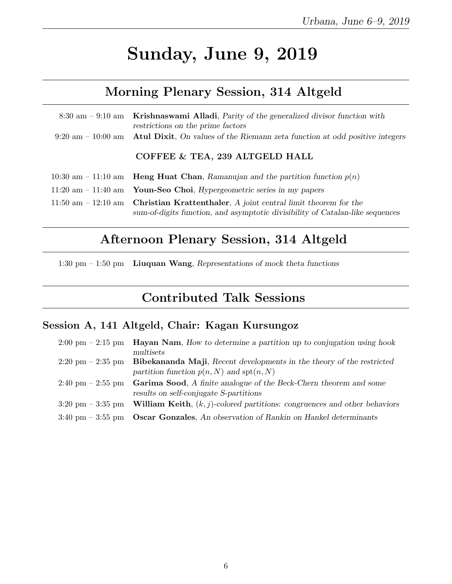# Sunday, June 9, 2019

## Morning Plenary Session, 314 Altgeld

|                                       | $8:30 \text{ am} - 9:10 \text{ am}$ Krishnaswami Alladi, Parity of the generalized divisor function with<br>restrictions on the prime factors           |
|---------------------------------------|---------------------------------------------------------------------------------------------------------------------------------------------------------|
| $9:20 \text{ am} - 10:00 \text{ am}$  | <b>Atul Dixit,</b> On values of the Riemann zeta function at odd positive integers                                                                      |
|                                       | COFFEE & TEA, 239 ALTGELD HALL                                                                                                                          |
|                                       | 10:30 am – 11:10 am – <b>Heng Huat Chan</b> , Ramanujan and the partition function $p(n)$                                                               |
| $11:20 \text{ am} - 11:40 \text{ am}$ | <b>Youn-Seo Choi</b> , <i>Hypergeometric series in my papers</i>                                                                                        |
| $11:50 \text{ am} - 12:10 \text{ am}$ | <b>Christian Krattenthaler</b> , A joint central limit theorem for the<br>sum-of-digits function, and asymptotic divisibility of Catalan-like sequences |

## Afternoon Plenary Session, 314 Altgeld

1:30 pm – 1:50 pm Liuquan Wang, Representations of mock theta functions

## Contributed Talk Sessions

### Session A, 141 Altgeld, Chair: Kagan Kursungoz

| $2:00 \text{ pm} - 2:15 \text{ pm}$ | <b>Hayan Nam.</b> How to determine a partition up to conjugation using hook          |
|-------------------------------------|--------------------------------------------------------------------------------------|
|                                     | multisets                                                                            |
| $2:20 \text{ pm} - 2:35 \text{ pm}$ | Bibekananda Maji, Recent developments in the theory of the restricted                |
|                                     | partition function $p(n, N)$ and $\text{spt}(n, N)$                                  |
| $2:40 \text{ pm} - 2:55 \text{ pm}$ | Garima Sood, A finite analogue of the Beck-Chern theorem and some                    |
|                                     | results on self-conjugate S-partitions                                               |
| $3:20 \text{ pm} - 3:35 \text{ pm}$ | <b>William Keith</b> , $(k, j)$ -colored partitions: congruences and other behaviors |
| $3:40 \text{ pm} - 3:55 \text{ pm}$ | <b>Oscar Gonzales</b> , An observation of Rankin on Hankel determinants              |